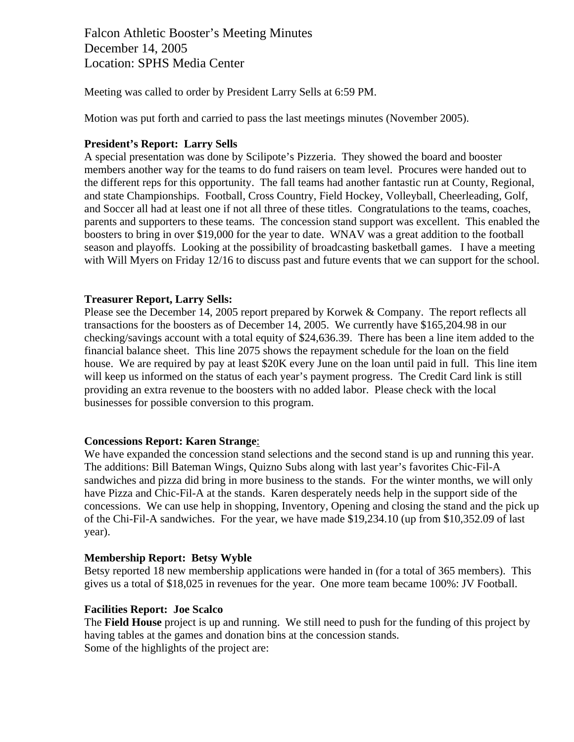Falcon Athletic Booster's Meeting Minutes December 14, 2005 Location: SPHS Media Center

Meeting was called to order by President Larry Sells at 6:59 PM.

Motion was put forth and carried to pass the last meetings minutes (November 2005).

### **President's Report: Larry Sells**

A special presentation was done by Scilipote's Pizzeria. They showed the board and booster members another way for the teams to do fund raisers on team level. Procures were handed out to the different reps for this opportunity. The fall teams had another fantastic run at County, Regional, and state Championships. Football, Cross Country, Field Hockey, Volleyball, Cheerleading, Golf, and Soccer all had at least one if not all three of these titles. Congratulations to the teams, coaches, parents and supporters to these teams. The concession stand support was excellent. This enabled the boosters to bring in over \$19,000 for the year to date. WNAV was a great addition to the football season and playoffs. Looking at the possibility of broadcasting basketball games. I have a meeting with Will Myers on Friday 12/16 to discuss past and future events that we can support for the school.

### **Treasurer Report, Larry Sells:**

Please see the December 14, 2005 report prepared by Korwek & Company. The report reflects all transactions for the boosters as of December 14, 2005. We currently have \$165,204.98 in our checking/savings account with a total equity of \$24,636.39. There has been a line item added to the financial balance sheet. This line 2075 shows the repayment schedule for the loan on the field house. We are required by pay at least \$20K every June on the loan until paid in full. This line item will keep us informed on the status of each year's payment progress. The Credit Card link is still providing an extra revenue to the boosters with no added labor. Please check with the local businesses for possible conversion to this program.

#### **Concessions Report: Karen Strange**:

We have expanded the concession stand selections and the second stand is up and running this year. The additions: Bill Bateman Wings, Quizno Subs along with last year's favorites Chic-Fil-A sandwiches and pizza did bring in more business to the stands. For the winter months, we will only have Pizza and Chic-Fil-A at the stands. Karen desperately needs help in the support side of the concessions. We can use help in shopping, Inventory, Opening and closing the stand and the pick up of the Chi-Fil-A sandwiches. For the year, we have made \$19,234.10 (up from \$10,352.09 of last year).

#### **Membership Report: Betsy Wyble**

Betsy reported 18 new membership applications were handed in (for a total of 365 members). This gives us a total of \$18,025 in revenues for the year. One more team became 100%: JV Football.

#### **Facilities Report: Joe Scalco**

The **Field House** project is up and running. We still need to push for the funding of this project by having tables at the games and donation bins at the concession stands. Some of the highlights of the project are: